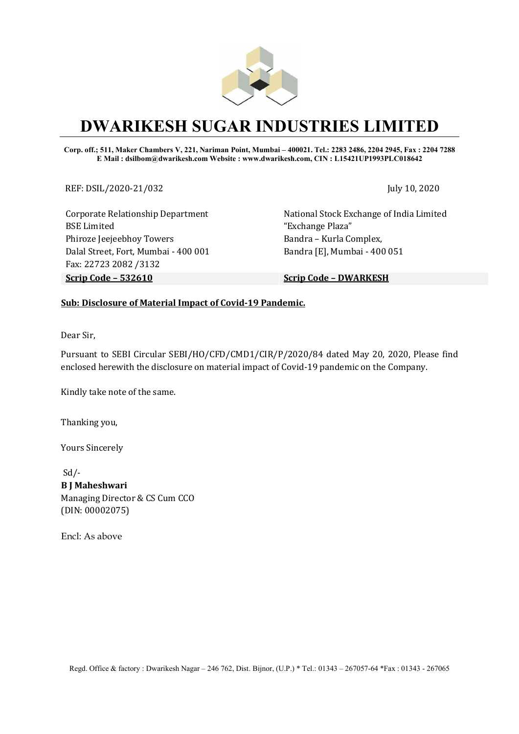

# DWARIKESH SUGAR INDUSTRIES LIMITED

Corp. off.; 511, Maker Chambers V, 221, Nariman Point, Mumbai – 400021. Tel.: 2283 2486, 2204 2945, Fax : 2204 7288 E Mail : dsilbom@dwarikesh.com Website : www.dwarikesh.com, CIN : L15421UP1993PLC018642

REF: DSIL/2020-21/032 July 10, 2020

Corporate Relationship Department BSE Limited Phiroze Jeejeebhoy Towers Dalal Street, Fort, Mumbai - 400 001 Fax: 22723 2082 /3132 Scrip Code – 532610 Scrip Code – DWARKESH

National Stock Exchange of India Limited "Exchange Plaza" Bandra – Kurla Complex, Bandra [E], Mumbai - 400 051

#### Sub: Disclosure of Material Impact of Covid-19 Pandemic.

Dear Sir,

Pursuant to SEBI Circular SEBI/HO/CFD/CMD1/CIR/P/2020/84 dated May 20, 2020, Please find enclosed herewith the disclosure on material impact of Covid-19 pandemic on the Company.

Kindly take note of the same.

Thanking you,

Yours Sincerely

 Sd/- B J Maheshwari Managing Director & CS Cum CCO (DIN: 00002075)

Encl: As above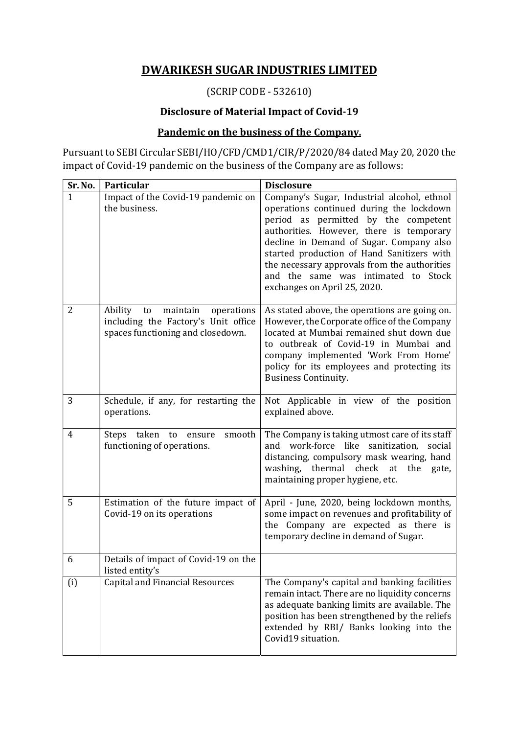## DWARIKESH SUGAR INDUSTRIES LIMITED

# (SCRIP CODE - 532610)

#### Disclosure of Material Impact of Covid-19

### Pandemic on the business of the Company.

Pursuant to SEBI Circular SEBI/HO/CFD/CMD1/CIR/P/2020/84 dated May 20, 2020 the impact of Covid-19 pandemic on the business of the Company are as follows:

| Sr. No.      | Particular                                                                                                          | <b>Disclosure</b>                                                                                                                                                                                                                                                                                                                                                                            |
|--------------|---------------------------------------------------------------------------------------------------------------------|----------------------------------------------------------------------------------------------------------------------------------------------------------------------------------------------------------------------------------------------------------------------------------------------------------------------------------------------------------------------------------------------|
| $\mathbf{1}$ | Impact of the Covid-19 pandemic on<br>the business.                                                                 | Company's Sugar, Industrial alcohol, ethnol<br>operations continued during the lockdown<br>period as permitted by the competent<br>authorities. However, there is temporary<br>decline in Demand of Sugar. Company also<br>started production of Hand Sanitizers with<br>the necessary approvals from the authorities<br>and the same was intimated to Stock<br>exchanges on April 25, 2020. |
| 2            | Ability<br>maintain<br>to<br>operations<br>including the Factory's Unit office<br>spaces functioning and closedown. | As stated above, the operations are going on.<br>However, the Corporate office of the Company<br>located at Mumbai remained shut down due<br>to outbreak of Covid-19 in Mumbai and<br>company implemented 'Work From Home'<br>policy for its employees and protecting its<br><b>Business Continuity.</b>                                                                                     |
| 3            | Schedule, if any, for restarting the<br>operations.                                                                 | Not Applicable in view of the position<br>explained above.                                                                                                                                                                                                                                                                                                                                   |
| 4            | Steps taken<br>smooth<br>to<br>ensure<br>functioning of operations.                                                 | The Company is taking utmost care of its staff<br>and work-force like sanitization,<br>social<br>distancing, compulsory mask wearing, hand<br>thermal check at<br>washing,<br>the<br>gate,<br>maintaining proper hygiene, etc.                                                                                                                                                               |
| 5            | Estimation of the future impact of<br>Covid-19 on its operations                                                    | April - June, 2020, being lockdown months,<br>some impact on revenues and profitability of<br>the Company are expected as there is<br>temporary decline in demand of Sugar.                                                                                                                                                                                                                  |
| 6            | Details of impact of Covid-19 on the<br>listed entity's                                                             |                                                                                                                                                                                                                                                                                                                                                                                              |
| (i)          | <b>Capital and Financial Resources</b>                                                                              | The Company's capital and banking facilities<br>remain intact. There are no liquidity concerns<br>as adequate banking limits are available. The<br>position has been strengthened by the reliefs<br>extended by RBI/ Banks looking into the<br>Covid19 situation.                                                                                                                            |